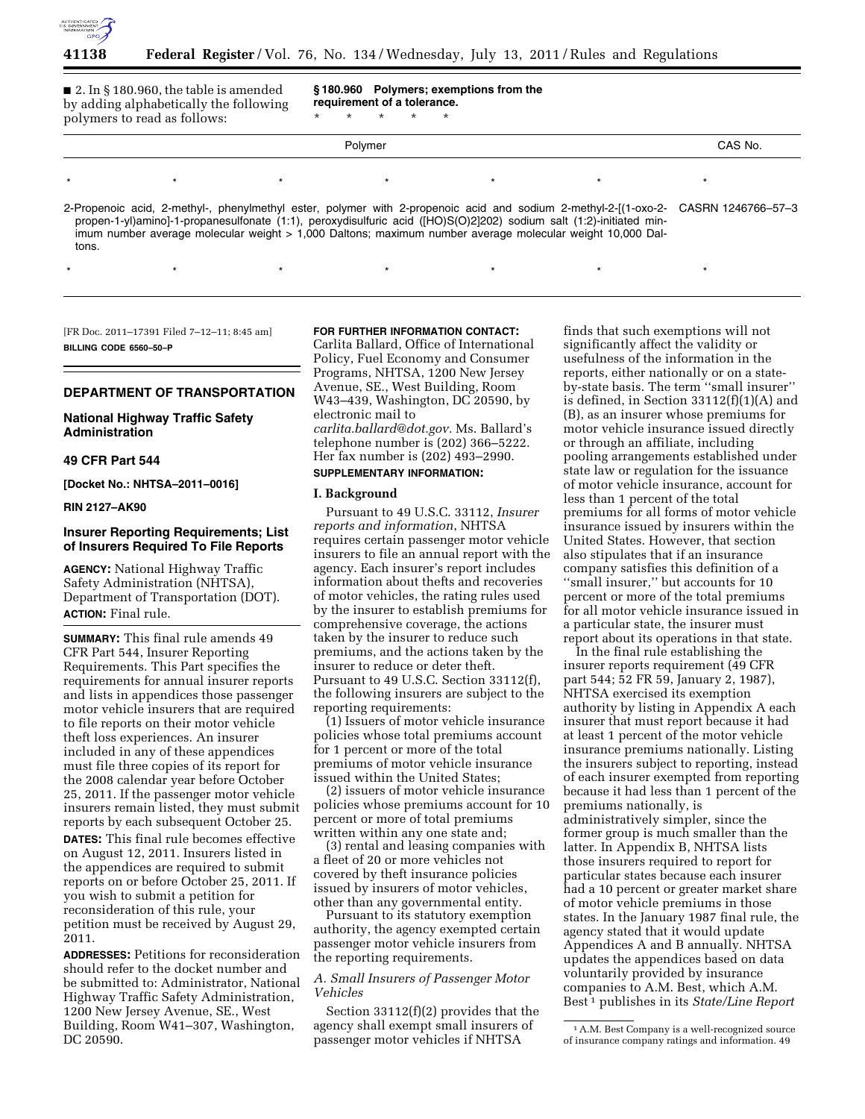

■ 2. In § 180.960, the table is amended by adding alphabetically the following polymers to read as follows:

**§ 180.960 Polymers; exemptions from the requirement of a tolerance.** 

\* \* \* \* \*

\*\*\*\*\*\*\*

# Polymer CAS No. \*\*\*\*\*\*\*

2-Propenoic acid, 2-methyl-, phenylmethyl ester, polymer with 2-propenoic acid and sodium 2-methyl-2-[(1-oxo-2 propen-1-yl)amino]-1-propanesulfonate (1:1), peroxydisulfuric acid ([HO)S(O)2]202) sodium salt (1:2)-initiated minimum number average molecular weight > 1,000 Daltons; maximum number average molecular weight 10,000 Daltons. CASRN 1246766–57–3

[FR Doc. 2011–17391 Filed 7–12–11; 8:45 am] **BILLING CODE 6560–50–P** 

# **DEPARTMENT OF TRANSPORTATION**

**National Highway Traffic Safety Administration** 

# **49 CFR Part 544**

**[Docket No.: NHTSA–2011–0016]** 

**RIN 2127–AK90** 

# **Insurer Reporting Requirements; List of Insurers Required To File Reports**

**AGENCY:** National Highway Traffic Safety Administration (NHTSA), Department of Transportation (DOT). **ACTION:** Final rule.

**SUMMARY:** This final rule amends 49 CFR Part 544, Insurer Reporting Requirements. This Part specifies the requirements for annual insurer reports and lists in appendices those passenger motor vehicle insurers that are required to file reports on their motor vehicle theft loss experiences. An insurer included in any of these appendices must file three copies of its report for the 2008 calendar year before October 25, 2011. If the passenger motor vehicle insurers remain listed, they must submit reports by each subsequent October 25. **DATES:** This final rule becomes effective on August 12, 2011. Insurers listed in the appendices are required to submit reports on or before October 25, 2011. If you wish to submit a petition for reconsideration of this rule, your petition must be received by August 29, 2011.

**ADDRESSES:** Petitions for reconsideration should refer to the docket number and be submitted to: Administrator, National Highway Traffic Safety Administration, 1200 New Jersey Avenue, SE., West Building, Room W41–307, Washington, DC 20590.

#### **FOR FURTHER INFORMATION CONTACT:**

Carlita Ballard, Office of International Policy, Fuel Economy and Consumer Programs, NHTSA, 1200 New Jersey Avenue, SE., West Building, Room W43–439, Washington, DC 20590, by electronic mail to

*[carlita.ballard@dot.gov.](mailto:carlita.ballard@dot.gov)* Ms. Ballard's telephone number is (202) 366–5222. Her fax number is (202) 493–2990. **SUPPLEMENTARY INFORMATION:** 

#### **I. Background**

Pursuant to 49 U.S.C. 33112, *Insurer reports and information*, NHTSA requires certain passenger motor vehicle insurers to file an annual report with the agency. Each insurer's report includes information about thefts and recoveries of motor vehicles, the rating rules used by the insurer to establish premiums for comprehensive coverage, the actions taken by the insurer to reduce such premiums, and the actions taken by the insurer to reduce or deter theft. Pursuant to 49 U.S.C. Section 33112(f), the following insurers are subject to the reporting requirements:

(1) Issuers of motor vehicle insurance policies whose total premiums account for 1 percent or more of the total premiums of motor vehicle insurance issued within the United States;

(2) issuers of motor vehicle insurance policies whose premiums account for 10 percent or more of total premiums written within any one state and;

(3) rental and leasing companies with a fleet of 20 or more vehicles not covered by theft insurance policies issued by insurers of motor vehicles, other than any governmental entity.

Pursuant to its statutory exemption authority, the agency exempted certain passenger motor vehicle insurers from the reporting requirements.

# *A. Small Insurers of Passenger Motor Vehicles*

Section 33112(f)(2) provides that the agency shall exempt small insurers of passenger motor vehicles if NHTSA

finds that such exemptions will not significantly affect the validity or usefulness of the information in the reports, either nationally or on a stateby-state basis. The term ''small insurer'' is defined, in Section 33112(f)(1)(A) and (B), as an insurer whose premiums for motor vehicle insurance issued directly or through an affiliate, including pooling arrangements established under state law or regulation for the issuance of motor vehicle insurance, account for less than 1 percent of the total premiums for all forms of motor vehicle insurance issued by insurers within the United States. However, that section also stipulates that if an insurance company satisfies this definition of a ''small insurer,'' but accounts for 10 percent or more of the total premiums for all motor vehicle insurance issued in a particular state, the insurer must report about its operations in that state.

In the final rule establishing the insurer reports requirement (49 CFR part 544; 52 FR 59, January 2, 1987), NHTSA exercised its exemption authority by listing in Appendix A each insurer that must report because it had at least 1 percent of the motor vehicle insurance premiums nationally. Listing the insurers subject to reporting, instead of each insurer exempted from reporting because it had less than 1 percent of the premiums nationally, is administratively simpler, since the former group is much smaller than the latter. In Appendix B, NHTSA lists those insurers required to report for particular states because each insurer had a 10 percent or greater market share of motor vehicle premiums in those states. In the January 1987 final rule, the agency stated that it would update Appendices A and B annually. NHTSA updates the appendices based on data voluntarily provided by insurance companies to A.M. Best, which A.M. Best 1 publishes in its *State/Line Report* 

<sup>1</sup>A.M. Best Company is a well-recognized source of insurance company ratings and information. 49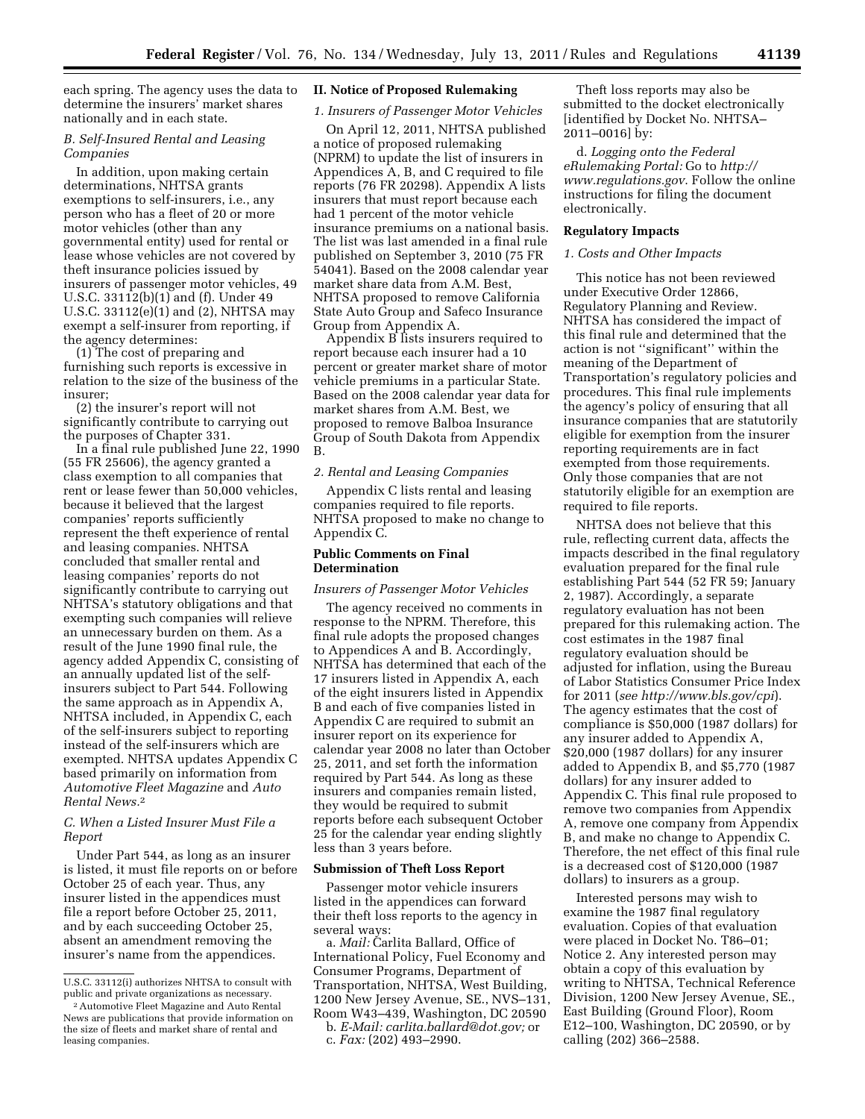each spring. The agency uses the data to determine the insurers' market shares nationally and in each state.

# *B. Self-Insured Rental and Leasing Companies*

In addition, upon making certain determinations, NHTSA grants exemptions to self-insurers, i.e., any person who has a fleet of 20 or more motor vehicles (other than any governmental entity) used for rental or lease whose vehicles are not covered by theft insurance policies issued by insurers of passenger motor vehicles, 49 U.S.C. 33112(b)(1) and (f). Under 49 U.S.C. 33112(e)(1) and (2), NHTSA may exempt a self-insurer from reporting, if the agency determines:

(1) The cost of preparing and furnishing such reports is excessive in relation to the size of the business of the insurer;

(2) the insurer's report will not significantly contribute to carrying out the purposes of Chapter 331.

In a final rule published June 22, 1990 (55 FR 25606), the agency granted a class exemption to all companies that rent or lease fewer than 50,000 vehicles, because it believed that the largest companies' reports sufficiently represent the theft experience of rental and leasing companies. NHTSA concluded that smaller rental and leasing companies' reports do not significantly contribute to carrying out NHTSA's statutory obligations and that exempting such companies will relieve an unnecessary burden on them. As a result of the June 1990 final rule, the agency added Appendix C, consisting of an annually updated list of the selfinsurers subject to Part 544. Following the same approach as in Appendix A, NHTSA included, in Appendix C, each of the self-insurers subject to reporting instead of the self-insurers which are exempted. NHTSA updates Appendix C based primarily on information from *Automotive Fleet Magazine* and *Auto Rental News.*2

# *C. When a Listed Insurer Must File a Report*

Under Part 544, as long as an insurer is listed, it must file reports on or before October 25 of each year. Thus, any insurer listed in the appendices must file a report before October 25, 2011, and by each succeeding October 25, absent an amendment removing the insurer's name from the appendices.

#### **II. Notice of Proposed Rulemaking**

*1. Insurers of Passenger Motor Vehicles* 

On April 12, 2011, NHTSA published a notice of proposed rulemaking (NPRM) to update the list of insurers in Appendices A, B, and C required to file reports (76 FR 20298). Appendix A lists insurers that must report because each had 1 percent of the motor vehicle insurance premiums on a national basis. The list was last amended in a final rule published on September 3, 2010 (75 FR 54041). Based on the 2008 calendar year market share data from A.M. Best, NHTSA proposed to remove California State Auto Group and Safeco Insurance Group from Appendix A.

Appendix B lists insurers required to report because each insurer had a 10 percent or greater market share of motor vehicle premiums in a particular State. Based on the 2008 calendar year data for market shares from A.M. Best, we proposed to remove Balboa Insurance Group of South Dakota from Appendix B.

# *2. Rental and Leasing Companies*

Appendix C lists rental and leasing companies required to file reports. NHTSA proposed to make no change to Appendix C.

#### **Public Comments on Final Determination**

# *Insurers of Passenger Motor Vehicles*

The agency received no comments in response to the NPRM. Therefore, this final rule adopts the proposed changes to Appendices A and B. Accordingly, NHTSA has determined that each of the 17 insurers listed in Appendix A, each of the eight insurers listed in Appendix B and each of five companies listed in Appendix C are required to submit an insurer report on its experience for calendar year 2008 no later than October 25, 2011, and set forth the information required by Part 544. As long as these insurers and companies remain listed, they would be required to submit reports before each subsequent October 25 for the calendar year ending slightly less than 3 years before.

#### **Submission of Theft Loss Report**

Passenger motor vehicle insurers listed in the appendices can forward their theft loss reports to the agency in several ways:

a. *Mail:* Carlita Ballard, Office of International Policy, Fuel Economy and Consumer Programs, Department of Transportation, NHTSA, West Building, 1200 New Jersey Avenue, SE., NVS–131, Room W43–439, Washington, DC 20590 b. *E-Mail: [carlita.ballard@dot.gov;](mailto:carlita.ballard@dot.gov)* or

Theft loss reports may also be submitted to the docket electronically [identified by Docket No. NHTSA– 2011–0016] by:

d. *Logging onto the Federal eRulemaking Portal:* Go to *[http://](http://www.regulations.gov) [www.regulations.gov](http://www.regulations.gov)*. Follow the online instructions for filing the document electronically.

## **Regulatory Impacts**

#### *1. Costs and Other Impacts*

This notice has not been reviewed under Executive Order 12866, Regulatory Planning and Review. NHTSA has considered the impact of this final rule and determined that the action is not ''significant'' within the meaning of the Department of Transportation's regulatory policies and procedures. This final rule implements the agency's policy of ensuring that all insurance companies that are statutorily eligible for exemption from the insurer reporting requirements are in fact exempted from those requirements. Only those companies that are not statutorily eligible for an exemption are required to file reports.

NHTSA does not believe that this rule, reflecting current data, affects the impacts described in the final regulatory evaluation prepared for the final rule establishing Part 544 (52 FR 59; January 2, 1987). Accordingly, a separate regulatory evaluation has not been prepared for this rulemaking action. The cost estimates in the 1987 final regulatory evaluation should be adjusted for inflation, using the Bureau of Labor Statistics Consumer Price Index for 2011 (*see <http://www.bls.gov/cpi>*). The agency estimates that the cost of compliance is \$50,000 (1987 dollars) for any insurer added to Appendix A, \$20,000 (1987 dollars) for any insurer added to Appendix B, and \$5,770 (1987 dollars) for any insurer added to Appendix C. This final rule proposed to remove two companies from Appendix A, remove one company from Appendix B, and make no change to Appendix C. Therefore, the net effect of this final rule is a decreased cost of \$120,000 (1987 dollars) to insurers as a group.

Interested persons may wish to examine the 1987 final regulatory evaluation. Copies of that evaluation were placed in Docket No. T86–01; Notice 2. Any interested person may obtain a copy of this evaluation by writing to NHTSA, Technical Reference Division, 1200 New Jersey Avenue, SE., East Building (Ground Floor), Room E12–100, Washington, DC 20590, or by calling (202) 366–2588.

U.S.C. 33112(i) authorizes NHTSA to consult with public and private organizations as necessary.

<sup>2</sup>Automotive Fleet Magazine and Auto Rental News are publications that provide information on the size of fleets and market share of rental and leasing companies.

c. *Fax:* (202) 493–2990.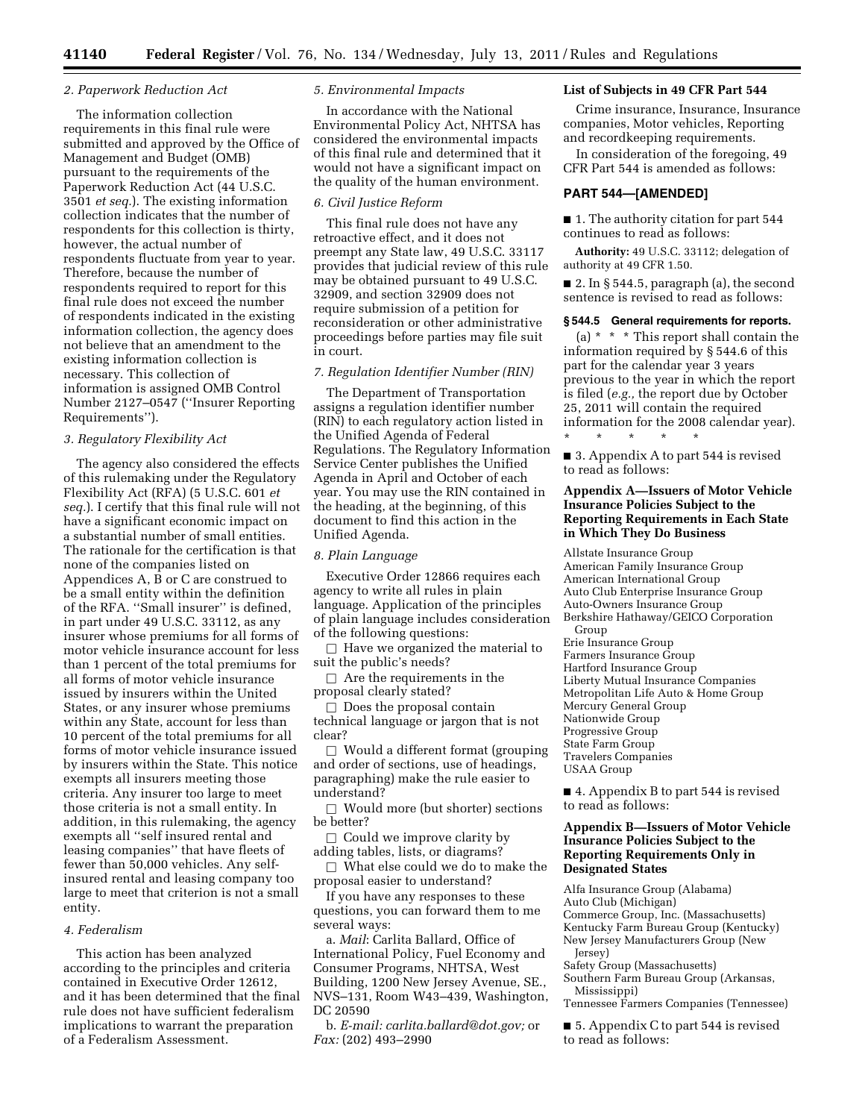#### *2. Paperwork Reduction Act*

The information collection requirements in this final rule were submitted and approved by the Office of Management and Budget (OMB) pursuant to the requirements of the Paperwork Reduction Act (44 U.S.C. 3501 *et seq.*). The existing information collection indicates that the number of respondents for this collection is thirty, however, the actual number of respondents fluctuate from year to year. Therefore, because the number of respondents required to report for this final rule does not exceed the number of respondents indicated in the existing information collection, the agency does not believe that an amendment to the existing information collection is necessary. This collection of information is assigned OMB Control Number 2127–0547 (''Insurer Reporting Requirements'').

#### *3. Regulatory Flexibility Act*

The agency also considered the effects of this rulemaking under the Regulatory Flexibility Act (RFA) (5 U.S.C. 601 *et seq.*). I certify that this final rule will not have a significant economic impact on a substantial number of small entities. The rationale for the certification is that none of the companies listed on Appendices A, B or C are construed to be a small entity within the definition of the RFA. ''Small insurer'' is defined, in part under 49 U.S.C. 33112, as any insurer whose premiums for all forms of motor vehicle insurance account for less than 1 percent of the total premiums for all forms of motor vehicle insurance issued by insurers within the United States, or any insurer whose premiums within any State, account for less than 10 percent of the total premiums for all forms of motor vehicle insurance issued by insurers within the State. This notice exempts all insurers meeting those criteria. Any insurer too large to meet those criteria is not a small entity. In addition, in this rulemaking, the agency exempts all ''self insured rental and leasing companies'' that have fleets of fewer than 50,000 vehicles. Any selfinsured rental and leasing company too large to meet that criterion is not a small entity.

## *4. Federalism*

This action has been analyzed according to the principles and criteria contained in Executive Order 12612, and it has been determined that the final rule does not have sufficient federalism implications to warrant the preparation of a Federalism Assessment.

#### *5. Environmental Impacts*

In accordance with the National Environmental Policy Act, NHTSA has considered the environmental impacts of this final rule and determined that it would not have a significant impact on the quality of the human environment.

#### *6. Civil Justice Reform*

This final rule does not have any retroactive effect, and it does not preempt any State law, 49 U.S.C. 33117 provides that judicial review of this rule may be obtained pursuant to 49 U.S.C. 32909, and section 32909 does not require submission of a petition for reconsideration or other administrative proceedings before parties may file suit in court.

# *7. Regulation Identifier Number (RIN)*

The Department of Transportation assigns a regulation identifier number (RIN) to each regulatory action listed in the Unified Agenda of Federal Regulations. The Regulatory Information Service Center publishes the Unified Agenda in April and October of each year. You may use the RIN contained in the heading, at the beginning, of this document to find this action in the Unified Agenda.

#### *8. Plain Language*

Executive Order 12866 requires each agency to write all rules in plain language. Application of the principles of plain language includes consideration of the following questions:

 $\Box$  Have we organized the material to suit the public's needs?

 $\Box$  Are the requirements in the proposal clearly stated?

 $\square$  Does the proposal contain technical language or jargon that is not clear?

 $\Box$  Would a different format (grouping and order of sections, use of headings, paragraphing) make the rule easier to understand?

 $\Box$  Would more (but shorter) sections be better?

 $\Box$  Could we improve clarity by adding tables, lists, or diagrams?

 $\Box$  What else could we do to make the proposal easier to understand?

If you have any responses to these questions, you can forward them to me several ways:

a. *Mail*: Carlita Ballard, Office of International Policy, Fuel Economy and Consumer Programs, NHTSA, West Building, 1200 New Jersey Avenue, SE., NVS–131, Room W43–439, Washington, DC 20590

b. *E-mail: [carlita.ballard@dot.gov;](mailto:carlita.ballard@dot.gov)* or *Fax:* (202) 493–2990

## **List of Subjects in 49 CFR Part 544**

Crime insurance, Insurance, Insurance companies, Motor vehicles, Reporting and recordkeeping requirements.

In consideration of the foregoing, 49 CFR Part 544 is amended as follows:

#### **PART 544—[AMENDED]**

■ 1. The authority citation for part 544 continues to read as follows:

**Authority:** 49 U.S.C. 33112; delegation of authority at 49 CFR 1.50.

 $\blacksquare$  2. In § 544.5, paragraph (a), the second sentence is revised to read as follows:

#### **§ 544.5 General requirements for reports.**

(a)  $*$   $*$   $*$  This report shall contain the information required by § 544.6 of this part for the calendar year 3 years previous to the year in which the report is filed (*e.g.,* the report due by October 25, 2011 will contain the required information for the 2008 calendar year).

■ 3. Appendix A to part 544 is revised to read as follows:

\* \* \* \* \*

# **Appendix A—Issuers of Motor Vehicle Insurance Policies Subject to the Reporting Requirements in Each State in Which They Do Business**

Allstate Insurance Group American Family Insurance Group American International Group Auto Club Enterprise Insurance Group Auto-Owners Insurance Group Berkshire Hathaway/GEICO Corporation Group Erie Insurance Group Farmers Insurance Group Hartford Insurance Group Liberty Mutual Insurance Companies Metropolitan Life Auto & Home Group Mercury General Group Nationwide Group Progressive Group State Farm Group Travelers Companies USAA Group

■ 4. Appendix B to part 544 is revised to read as follows:

# **Appendix B—Issuers of Motor Vehicle Insurance Policies Subject to the Reporting Requirements Only in Designated States**

Alfa Insurance Group (Alabama) Auto Club (Michigan) Commerce Group, Inc. (Massachusetts) Kentucky Farm Bureau Group (Kentucky) New Jersey Manufacturers Group (New Jersey) Safety Group (Massachusetts) Southern Farm Bureau Group (Arkansas, Mississippi) Tennessee Farmers Companies (Tennessee) ■ 5. Appendix C to part 544 is revised to read as follows: